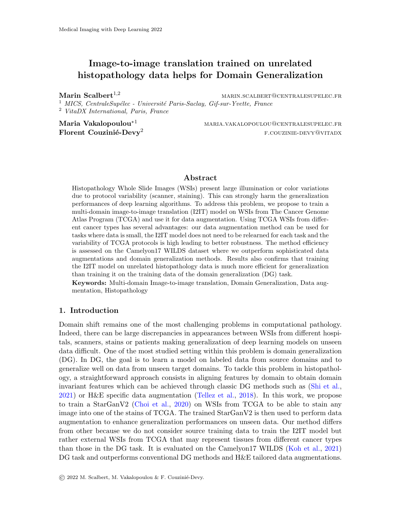# Image-to-image translation trained on unrelated histopathology data helps for Domain Generalization

Marin Scalbert<sup>1,2</sup> marin.scalbert<sup>1,2</sup> marin.scalbert@centralesupelec.fr

<sup>1</sup> MICS, CentraleSupélec - Université Paris-Saclay, Gif-sur-Yvette, France <sup>2</sup> VitaDX International, Paris, France

Maria Vakalopoulou<sup>\*1</sup> maria.vakalopoulou@centralesupelec.fr Florent Couzinié-Devy<sup>2</sup> f.couzinie-devy<sup>2</sup> f.couzinie-devy<sup>2</sup>

### Abstract

Histopathology Whole Slide Images (WSIs) present large illumination or color variations due to protocol variability (scanner, staining). This can strongly harm the generalization performances of deep learning algorithms. To address this problem, we propose to train a multi-domain image-to-image translation (I2IT) model on WSIs from The Cancer Genome Atlas Program (TCGA) and use it for data augmentation. Using TCGA WSIs from different cancer types has several advantages: our data augmentation method can be used for tasks where data is small, the I2IT model does not need to be relearned for each task and the variability of TCGA protocols is high leading to better robustness. The method efficiency is assessed on the Camelyon17 WILDS dataset where we outperform sophisticated data augmentations and domain generalization methods. Results also confirms that training the I2IT model on unrelated histopathology data is much more efficient for generalization than training it on the training data of the domain generalization (DG) task.

Keywords: Multi-domain Image-to-image translation, Domain Generalization, Data augmentation, Histopathology

#### 1. Introduction

Domain shift remains one of the most challenging problems in computational pathology. Indeed, there can be large discrepancies in appearances between WSIs from different hospitals, scanners, stains or patients making generalization of deep learning models on unseen data difficult. One of the most studied setting within this problem is domain generalization (DG). In DG, the goal is to learn a model on labeled data from source domains and to generalize well on data from unseen target domains. To tackle this problem in histopathology, a straightforward approach consists in aligning features by domain to obtain domain invariant features which can be achieved through classic DG methods such as [\(Shi et al.,](#page-2-0) [2021\)](#page-2-0) or H&E specific data augmentation [\(Tellez et al.,](#page-2-1) [2018\)](#page-2-1). In this work, we propose to train a StarGanV2 [\(Choi et al.,](#page-2-2) [2020\)](#page-2-2) on WSIs from TCGA to be able to stain any image into one of the stains of TCGA. The trained StarGanV2 is then used to perform data augmentation to enhance generalization performances on unseen data. Our method differs from other because we do not consider source training data to train the I2IT model but rather external WSIs from TCGA that may represent tissues from different cancer types than those in the DG task. It is evaluated on the Camelyon17 WILDS [\(Koh et al.,](#page-2-3) [2021\)](#page-2-3) DG task and outperforms conventional DG methods and H&E tailored data augmentations.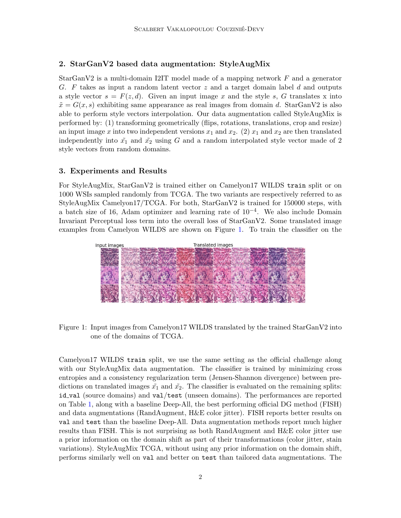## 2. StarGanV2 based data augmentation: StyleAugMix

StarGanV2 is a multi-domain I2IT model made of a mapping network  $F$  and a generator G. F takes as input a random latent vector  $z$  and a target domain label d and outputs a style vector  $s = F(z, d)$ . Given an input image x and the style s, G translates x into  $\tilde{x} = G(x, s)$  exhibiting same appearance as real images from domain d. StarGanV2 is also able to perform style vectors interpolation. Our data augmentation called StyleAugMix is performed by: (1) transforming geometrically (flips, rotations, translations, crop and resize) an input image x into two independent versions  $x_1$  and  $x_2$ . (2)  $x_1$  and  $x_2$  are then translated independently into  $\tilde{x}_1$  and  $\tilde{x}_2$  using G and a random interpolated style vector made of 2 style vectors from random domains.

#### 3. Experiments and Results

For StyleAugMix, StarGanV2 is trained either on Camelyon17 WILDS train split or on 1000 WSIs sampled randomly from TCGA. The two variants are respectively referred to as StyleAugMix Camelyon17/TCGA. For both, StarGanV2 is trained for 150000 steps, with a batch size of 16, Adam optimizer and learning rate of  $10^{-4}$ . We also include Domain Invariant Perceptual loss term into the overall loss of StarGanV2. Some translated image examples from Camelyon WILDS are shown on Figure [1.](#page-1-0) To train the classifier on the



<span id="page-1-0"></span>Figure 1: Input images from Camelyon17 WILDS translated by the trained StarGanV2 into one of the domains of TCGA.

Camelyon17 WILDS train split, we use the same setting as the official challenge along with our StyleAugMix data augmentation. The classifier is trained by minimizing cross entropies and a consistency regularization term (Jensen-Shannon divergence) between predictions on translated images  $\tilde{x}_1$  and  $\tilde{x}_2$ . The classifier is evaluated on the remaining splits: id val (source domains) and val/test (unseen domains). The performances are reported on Table [1,](#page-2-4) along with a baseline Deep-All, the best performing official DG method (FISH) and data augmentations (RandAugment, H&E color jitter). FISH reports better results on val and test than the baseline Deep-All. Data augmentation methods report much higher results than FISH. This is not surprising as both RandAugment and H&E color jitter use a prior information on the domain shift as part of their transformations (color jitter, stain variations). StyleAugMix TCGA, without using any prior information on the domain shift, performs similarly well on val and better on test than tailored data augmentations. The